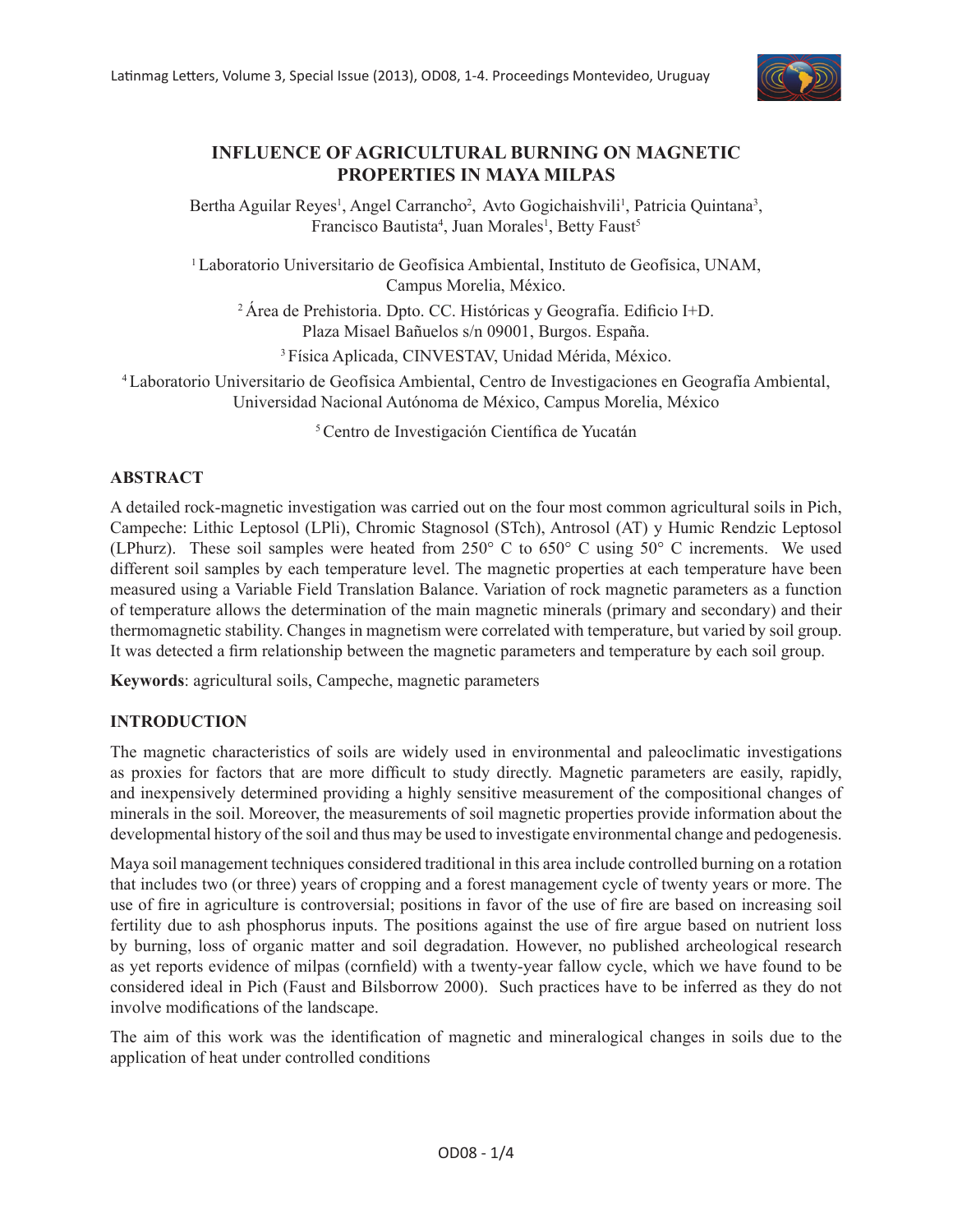

# **INFLUENCE OF AGRICULTURAL BURNING ON MAGNETIC PROPERTIES IN MAYA MILPAS**

Bertha Aguilar Reyes<sup>1</sup>, Angel Carrancho<sup>2</sup>, Avto Gogichaishvili<sup>1</sup>, Patricia Quintana<sup>3</sup>, Francisco Bautista<sup>4</sup>, Juan Morales<sup>1</sup>, Betty Faust<sup>5</sup>

<sup>1</sup> Laboratorio Universitario de Geofísica Ambiental, Instituto de Geofísica, UNAM, Campus Morelia, México.

<sup>2</sup>Área de Prehistoria. Dpto. CC. Históricas y Geografía. Edificio I+D. Plaza Misael Bañuelos s/n 09001, Burgos. España.

3 Física Aplicada, CINVESTAV, Unidad Mérida, México.

4 Laboratorio Universitario de Geofísica Ambiental, Centro de Investigaciones en Geografía Ambiental, Universidad Nacional Autónoma de México, Campus Morelia, México

<sup>5</sup>Centro de Investigación Científica de Yucatán

# **ABSTRACT**

A detailed rock-magnetic investigation was carried out on the four most common agricultural soils in Pich, Campeche: Lithic Leptosol (LPli), Chromic Stagnosol (STch), Antrosol (AT) y Humic Rendzic Leptosol (LPhurz). These soil samples were heated from 250° C to 650° C using 50° C increments. We used different soil samples by each temperature level. The magnetic properties at each temperature have been measured using a Variable Field Translation Balance. Variation of rock magnetic parameters as a function of temperature allows the determination of the main magnetic minerals (primary and secondary) and their thermomagnetic stability. Changes in magnetism were correlated with temperature, but varied by soil group. It was detected a firm relationship between the magnetic parameters and temperature by each soil group.

**Keywords**: agricultural soils, Campeche, magnetic parameters

# **INTRODUCTION**

The magnetic characteristics of soils are widely used in environmental and paleoclimatic investigations as proxies for factors that are more difficult to study directly. Magnetic parameters are easily, rapidly, and inexpensively determined providing a highly sensitive measurement of the compositional changes of minerals in the soil. Moreover, the measurements of soil magnetic properties provide information about the developmental history of the soil and thus may be used to investigate environmental change and pedogenesis.

Maya soil management techniques considered traditional in this area include controlled burning on a rotation that includes two (or three) years of cropping and a forest management cycle of twenty years or more. The use of fire in agriculture is controversial; positions in favor of the use of fire are based on increasing soil fertility due to ash phosphorus inputs. The positions against the use of fire argue based on nutrient loss by burning, loss of organic matter and soil degradation. However, no published archeological research as yet reports evidence of milpas (cornfield) with a twenty-year fallow cycle, which we have found to be considered ideal in Pich (Faust and Bilsborrow 2000). Such practices have to be inferred as they do not involve modifications of the landscape.

The aim of this work was the identification of magnetic and mineralogical changes in soils due to the application of heat under controlled conditions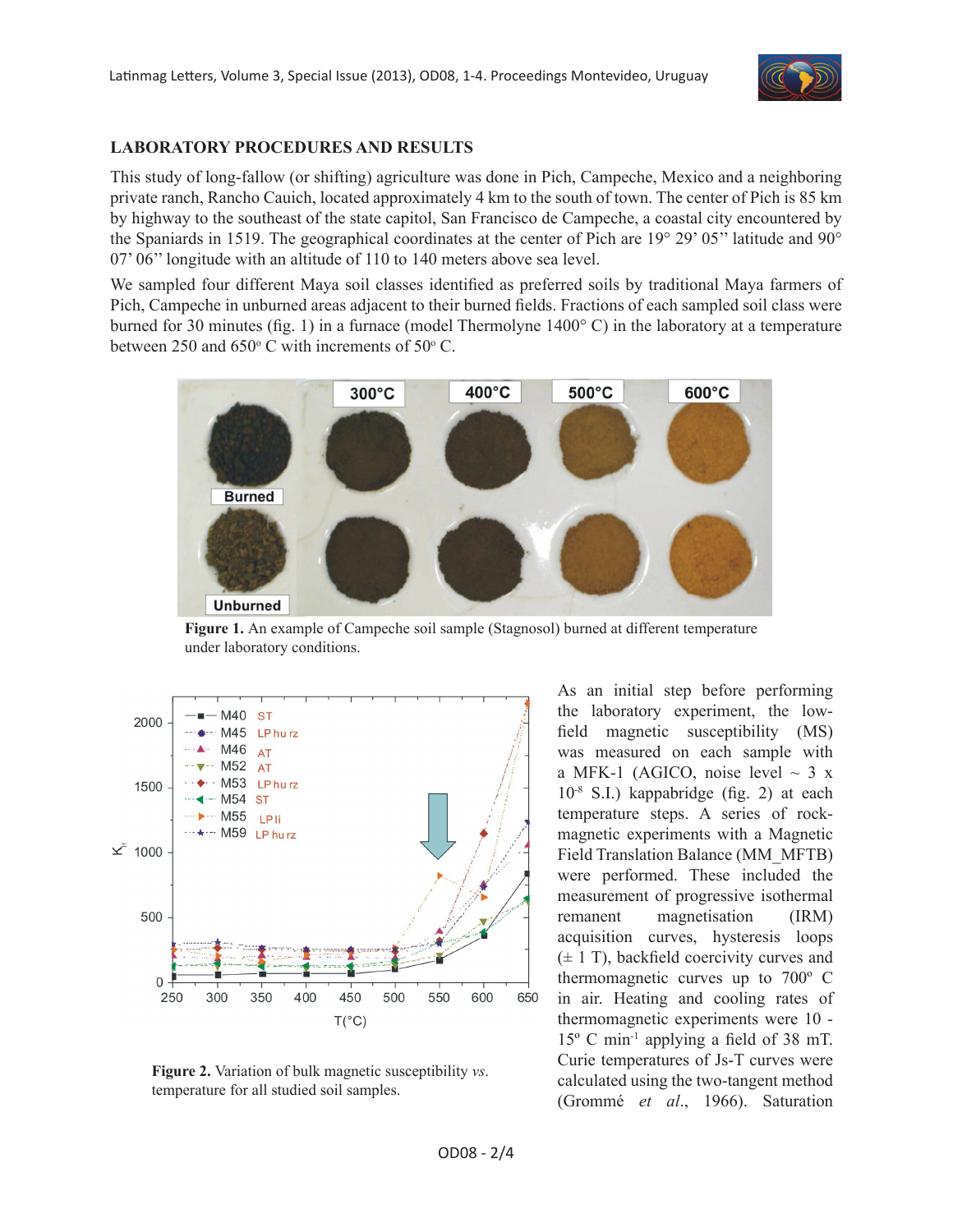

# **LABORATORY PROCEDURES AND RESULTS**

This study of long-fallow (or shifting) agriculture was done in Pich, Campeche, Mexico and a neighboring private ranch, Rancho Cauich, located approximately 4 km to the south of town. The center of Pich is 85 km by highway to the southeast of the state capitol, San Francisco de Campeche, a coastal city encountered by the Spaniards in 1519. The geographical coordinates at the center of Pich are 19° 29' 05'' latitude and 90° 07' 06'' longitude with an altitude of 110 to 140 meters above sea level.

We sampled four different Maya soil classes identified as preferred soils by traditional Maya farmers of Pich, Campeche in unburned areas adjacent to their burned fields. Fractions of each sampled soil class were burned for 30 minutes (fig. 1) in a furnace (model Thermolyne 1400° C) in the laboratory at a temperature between 250 and  $650^{\circ}$  C with increments of  $50^{\circ}$  C.



**Figure 1.** An example of Campeche soil sample (Stagnosol) burned at different temperature under laboratory conditions.



**Figure 2.** Variation of bulk magnetic susceptibility *vs*. temperature for all studied soil samples.

As an initial step before performing the laboratory experiment, the lowfield magnetic susceptibility (MS) was measured on each sample with a MFK-1 (AGICO, noise level  $\sim$  3 x 10-8 S.I.) kappabridge (fig. 2) at each temperature steps. A series of rockmagnetic experiments with a Magnetic Field Translation Balance (MM\_MFTB) were performed. These included the measurement of progressive isothermal remanent magnetisation (IRM) acquisition curves, hysteresis loops  $(\pm 1 \text{ T})$ , backfield coercivity curves and thermomagnetic curves up to 700º C in air. Heating and cooling rates of thermomagnetic experiments were 10 - 15º C min-1 applying a field of 38 mT. Curie temperatures of Js-T curves were calculated using the two-tangent method (Grommé *et al*., 1966). Saturation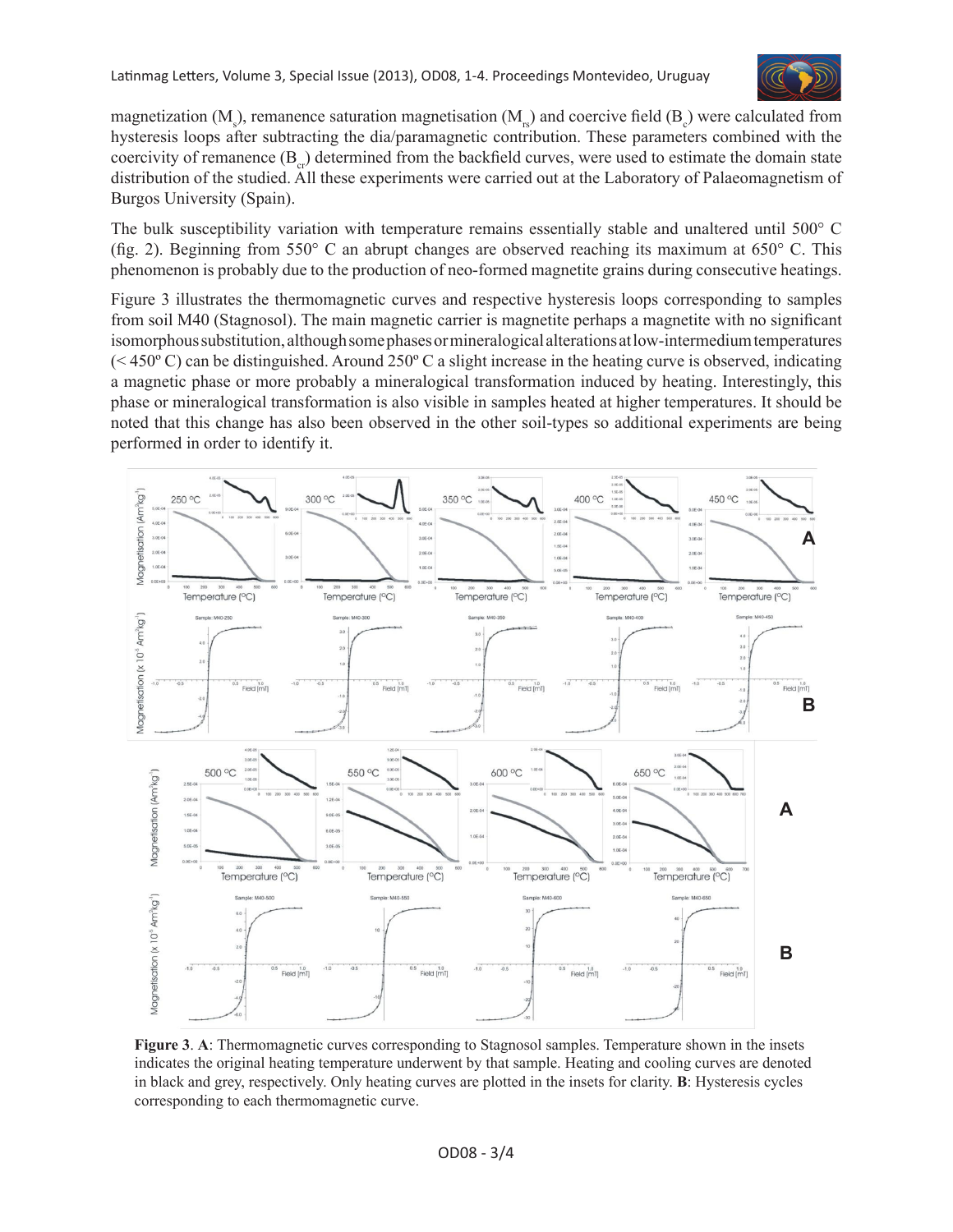

magnetization (M<sub>s</sub>), remanence saturation magnetisation (M<sub><sub>rs</sub>)</sub> and coercive field (B<sub>c</sub>) were calculated from hysteresis loops after subtracting the dia/paramagnetic contribution. These parameters combined with the coercivity of remanence  $(B_{\alpha})$  determined from the backfield curves, were used to estimate the domain state distribution of the studied. All these experiments were carried out at the Laboratory of Palaeomagnetism of Burgos University (Spain).

The bulk susceptibility variation with temperature remains essentially stable and unaltered until 500° C (fig. 2). Beginning from 550° C an abrupt changes are observed reaching its maximum at 650° C. This phenomenon is probably due to the production of neo-formed magnetite grains during consecutive heatings.

Figure 3 illustrates the thermomagnetic curves and respective hysteresis loops corresponding to samples from soil M40 (Stagnosol). The main magnetic carrier is magnetite perhaps a magnetite with no significant isomorphous substitution, although some phases or mineralogical alterations at low-intermedium temperatures  $(< 450^{\circ}$  C) can be distinguished. Around 250° C a slight increase in the heating curve is observed, indicating a magnetic phase or more probably a mineralogical transformation induced by heating. Interestingly, this phase or mineralogical transformation is also visible in samples heated at higher temperatures. It should be noted that this change has also been observed in the other soil-types so additional experiments are being performed in order to identify it.



**Figure 3**. **A**: Thermomagnetic curves corresponding to Stagnosol samples. Temperature shown in the insets indicates the original heating temperature underwent by that sample. Heating and cooling curves are denoted in black and grey, respectively. Only heating curves are plotted in the insets for clarity. **B**: Hysteresis cycles corresponding to each thermomagnetic curve.